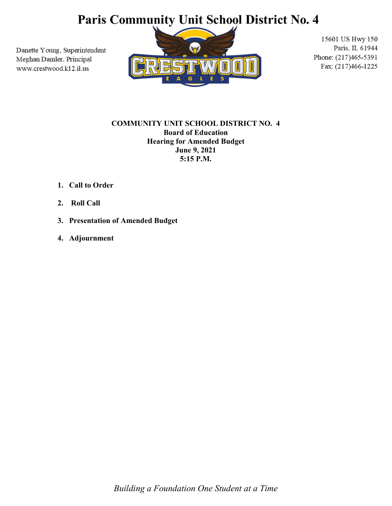# Paris Community Unit School District No. 4

Danette Young, Superintendent Meghan Damler, Principal www.crestwood.k12.il.us



15601 US Hwy 150 Paris, IL 61944 Phone: (217)465-5391 Fax: (217)466-1225

### COMMUNITY UNIT SCHOOL DISTRICT NO. 4 Board of Education Hearing for Amended Budget June 9, 2021 5:15 P.M.

- 1. Call to Order
- 2. Roll Call
- 3. Presentation of Amended Budget
- 4. Adjournment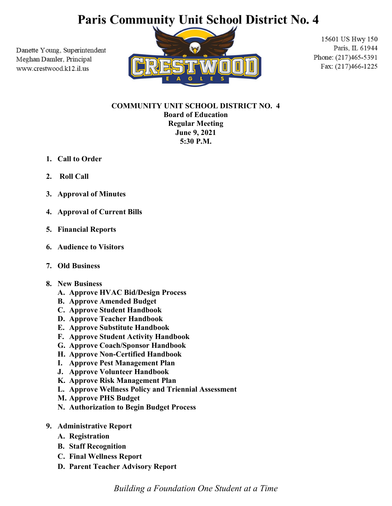# **Paris Community Unit School District No. 4**

Danette Young, Superintendent Meghan Damler, Principal www.crestwood.k12.il.us



15601 US Hwy 150 Paris, IL 61944 Phone: (217)465-5391 Fax: (217)466-1225

## COMMUNITY UNIT SCHOOL DISTRICT NO. 4 Board of Education Regular Meeting June 9, 2021 5:30 P.M.

- 1. Call to Order
- 2. Roll Call
- 3. Approval of Minutes
- 4. Approval of Current Bills
- 5. Financial Reports
- 6. Audience to Visitors
- 7. Old Business
- 8. New Business
	- A. Approve HVAC Bid/Design Process
	- B. Approve Amended Budget
	- C. Approve Student Handbook
	- D. Approve Teacher Handbook
	- E. Approve Substitute Handbook
	- F. Approve Student Activity Handbook
	- G. Approve Coach/Sponsor Handbook
	- H. Approve Non-Certified Handbook
	- I. Approve Pest Management Plan
	- J. Approve Volunteer Handbook
	- K. Approve Risk Management Plan
	- L. Approve Wellness Policy and Triennial Assessment
	- M. Approve PHS Budget
	- N. Authorization to Begin Budget Process
- 9. Administrative Report
	- A. Registration
	- B. Staff Recognition
	- C. Final Wellness Report
	- D. Parent Teacher Advisory Report